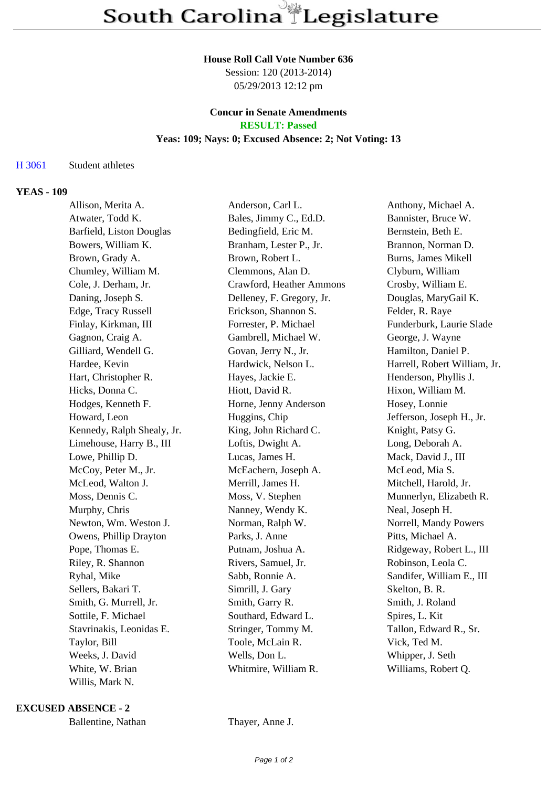#### **House Roll Call Vote Number 636**

Session: 120 (2013-2014) 05/29/2013 12:12 pm

### **Concur in Senate Amendments RESULT: Passed**

#### **Yeas: 109; Nays: 0; Excused Absence: 2; Not Voting: 13**

# H 3061 Student athletes

### **YEAS - 109**

| Allison, Merita A.         | Anderson, Carl L.         | Anthony, Michael A.          |
|----------------------------|---------------------------|------------------------------|
| Atwater, Todd K.           | Bales, Jimmy C., Ed.D.    | Bannister, Bruce W.          |
| Barfield, Liston Douglas   | Bedingfield, Eric M.      | Bernstein, Beth E.           |
| Bowers, William K.         | Branham, Lester P., Jr.   | Brannon, Norman D.           |
| Brown, Grady A.            | Brown, Robert L.          | <b>Burns, James Mikell</b>   |
| Chumley, William M.        | Clemmons, Alan D.         | Clyburn, William             |
| Cole, J. Derham, Jr.       | Crawford, Heather Ammons  | Crosby, William E.           |
| Daning, Joseph S.          | Delleney, F. Gregory, Jr. | Douglas, MaryGail K.         |
| Edge, Tracy Russell        | Erickson, Shannon S.      | Felder, R. Raye              |
| Finlay, Kirkman, III       | Forrester, P. Michael     | Funderburk, Laurie Slade     |
| Gagnon, Craig A.           | Gambrell, Michael W.      | George, J. Wayne             |
| Gilliard, Wendell G.       | Govan, Jerry N., Jr.      | Hamilton, Daniel P.          |
| Hardee, Kevin              | Hardwick, Nelson L.       | Harrell, Robert William, Jr. |
| Hart, Christopher R.       | Hayes, Jackie E.          | Henderson, Phyllis J.        |
| Hicks, Donna C.            | Hiott, David R.           | Hixon, William M.            |
| Hodges, Kenneth F.         | Horne, Jenny Anderson     | Hosey, Lonnie                |
| Howard, Leon               | Huggins, Chip             | Jefferson, Joseph H., Jr.    |
| Kennedy, Ralph Shealy, Jr. | King, John Richard C.     | Knight, Patsy G.             |
| Limehouse, Harry B., III   | Loftis, Dwight A.         | Long, Deborah A.             |
| Lowe, Phillip D.           | Lucas, James H.           | Mack, David J., III          |
| McCoy, Peter M., Jr.       | McEachern, Joseph A.      | McLeod, Mia S.               |
| McLeod, Walton J.          | Merrill, James H.         | Mitchell, Harold, Jr.        |
| Moss, Dennis C.            | Moss, V. Stephen          | Munnerlyn, Elizabeth R.      |
| Murphy, Chris              | Nanney, Wendy K.          | Neal, Joseph H.              |
| Newton, Wm. Weston J.      | Norman, Ralph W.          | Norrell, Mandy Powers        |
| Owens, Phillip Drayton     | Parks, J. Anne            | Pitts, Michael A.            |
| Pope, Thomas E.            | Putnam, Joshua A.         | Ridgeway, Robert L., III     |
| Riley, R. Shannon          | Rivers, Samuel, Jr.       | Robinson, Leola C.           |
| Ryhal, Mike                | Sabb, Ronnie A.           | Sandifer, William E., III    |
| Sellers, Bakari T.         | Simrill, J. Gary          | Skelton, B. R.               |
| Smith, G. Murrell, Jr.     | Smith, Garry R.           | Smith, J. Roland             |
| Sottile, F. Michael        | Southard, Edward L.       | Spires, L. Kit               |
| Stavrinakis, Leonidas E.   | Stringer, Tommy M.        | Tallon, Edward R., Sr.       |
| Taylor, Bill               | Toole, McLain R.          | Vick, Ted M.                 |
| Weeks, J. David            | Wells, Don L.             | Whipper, J. Seth             |
| White, W. Brian            | Whitmire, William R.      | Williams, Robert Q.          |
| Willis, Mark N.            |                           |                              |

**EXCUSED ABSENCE - 2**

Ballentine, Nathan Thayer, Anne J.